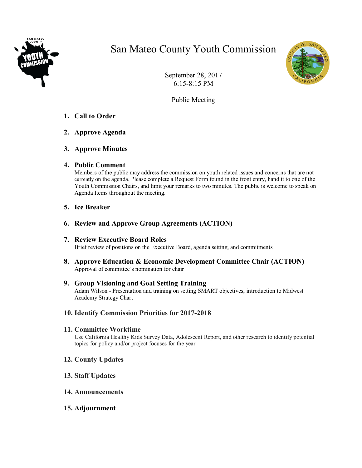

# San Mateo County Youth Commission



September 28, 2017 6:15-8:15 PM

Public Meeting

- **1. Call to Order**
- **2. Approve Agenda**
- **3. Approve Minutes**

## **4. Public Comment**

Members of the public may address the commission on youth related issues and concerns that are not currently on the agenda. Please complete a Request Form found in the front entry, hand it to one of the Youth Commission Chairs, and limit your remarks to two minutes. The public is welcome to speak on Agenda Items throughout the meeting.

## **5. Ice Breaker**

- **6. Review and Approve Group Agreements (ACTION)**
- **7. Review Executive Board Roles** Brief review of positions on the Executive Board, agenda setting, and commitments
- **8. Approve Education & Economic Development Committee Chair (ACTION)** Approval of committee's nomination for chair

#### **9. Group Visioning and Goal Setting Training** Adam Wilson - Presentation and training on setting SMART objectives, introduction to Midwest Academy Strategy Chart

### **10. Identify Commission Priorities for 2017-2018**

## **11. Committee Worktime**

Use California Healthy Kids Survey Data, Adolescent Report, and other research to identify potential topics for policy and/or project focuses for the year

- **12. County Updates**
- **13. Staff Updates**
- **14. Announcements**
- **15. Adjournment**